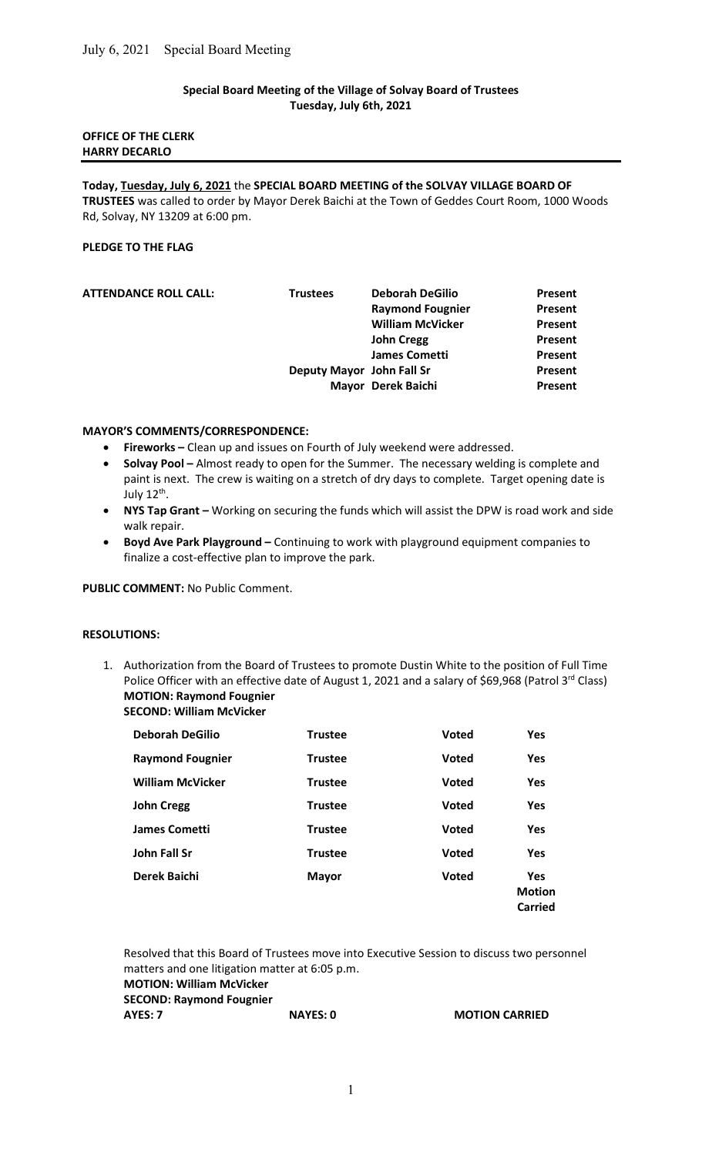# Special Board Meeting of the Village of Solvay Board of Trustees Tuesday, July 6th, 2021

## OFFICE OF THE CLERK HARRY DECARLO

Today, Tuesday, July 6, 2021 the SPECIAL BOARD MEETING of the SOLVAY VILLAGE BOARD OF TRUSTEES was called to order by Mayor Derek Baichi at the Town of Geddes Court Room, 1000 Woods Rd, Solvay, NY 13209 at 6:00 pm.

### PLEDGE TO THE FLAG

| <b>ATTENDANCE ROLL CALL:</b> | <b>Trustees</b>           | <b>Deborah DeGilio</b>  | Present |
|------------------------------|---------------------------|-------------------------|---------|
|                              |                           | <b>Raymond Fougnier</b> | Present |
|                              |                           | <b>William McVicker</b> | Present |
|                              |                           | <b>John Cregg</b>       | Present |
|                              |                           | <b>James Cometti</b>    | Present |
|                              | Deputy Mayor John Fall Sr |                         | Present |
|                              |                           | Mayor Derek Baichi      | Present |
|                              |                           |                         |         |

#### MAYOR'S COMMENTS/CORRESPONDENCE:

- Fireworks Clean up and issues on Fourth of July weekend were addressed.
- Solvay Pool Almost ready to open for the Summer. The necessary welding is complete and paint is next. The crew is waiting on a stretch of dry days to complete. Target opening date is July 12<sup>th</sup>.
- NYS Tap Grant Working on securing the funds which will assist the DPW is road work and side walk repair.
- Boyd Ave Park Playground Continuing to work with playground equipment companies to finalize a cost-effective plan to improve the park.

PUBLIC COMMENT: No Public Comment.

### RESOLUTIONS:

1. Authorization from the Board of Trustees to promote Dustin White to the position of Full Time Police Officer with an effective date of August 1, 2021 and a salary of \$69,968 (Patrol 3rd Class) MOTION: Raymond Fougnier SECOND: William McVicker

| <b>Deborah DeGilio</b>  | <b>Trustee</b> | <b>Voted</b> | Yes                             |
|-------------------------|----------------|--------------|---------------------------------|
| <b>Raymond Fougnier</b> | <b>Trustee</b> | <b>Voted</b> | Yes                             |
| <b>William McVicker</b> | <b>Trustee</b> | <b>Voted</b> | Yes                             |
| <b>John Cregg</b>       | <b>Trustee</b> | <b>Voted</b> | Yes                             |
| <b>James Cometti</b>    | <b>Trustee</b> | <b>Voted</b> | Yes                             |
| John Fall Sr            | <b>Trustee</b> | <b>Voted</b> | Yes                             |
| Derek Baichi            | <b>Mayor</b>   | <b>Voted</b> | Yes<br><b>Motion</b><br>Carried |

 Resolved that this Board of Trustees move into Executive Session to discuss two personnel matters and one litigation matter at 6:05 p.m. MOTION: William McVicker

SECOND: Raymond Fougnier

AYES: 7 NAYES: 0 MOTION CARRIED